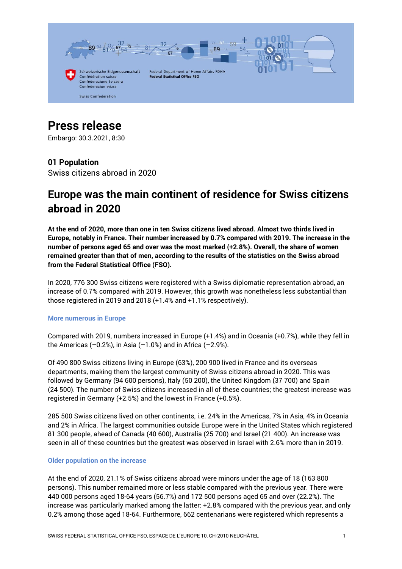

# **Press release**

Embargo: 30.3.2021, 8:30

## **01 Population**

Swiss citizens abroad in 2020

## **Europe was the main continent of residence for Swiss citizens abroad in 2020**

**At the end of 2020, more than one in ten Swiss citizens lived abroad. Almost two thirds lived in Europe, notably in France. Their number increased by 0.7% compared with 2019. The increase in the number of persons aged 65 and over was the most marked (+2.8%). Overall, the share of women remained greater than that of men, according to the results of the statistics on the Swiss abroad from the Federal Statistical Office (FSO).**

In 2020, 776 300 Swiss citizens were registered with a Swiss diplomatic representation abroad, an increase of 0.7% compared with 2019. However, this growth was nonetheless less substantial than those registered in 2019 and 2018 (+1.4% and +1.1% respectively).

#### **More numerous in Europe**

Compared with 2019, numbers increased in Europe (+1.4%) and in Oceania (+0.7%), while they fell in the Americas  $(-0.2%)$ , in Asia  $(-1.0%)$  and in Africa  $(-2.9%)$ .

Of 490 800 Swiss citizens living in Europe (63%), 200 900 lived in France and its overseas departments, making them the largest community of Swiss citizens abroad in 2020. This was followed by Germany (94 600 persons), Italy (50 200), the United Kingdom (37 700) and Spain (24 500). The number of Swiss citizens increased in all of these countries; the greatest increase was registered in Germany (+2.5%) and the lowest in France (+0.5%).

285 500 Swiss citizens lived on other continents, i.e. 24% in the Americas, 7% in Asia, 4% in Oceania and 2% in Africa. The largest communities outside Europe were in the United States which registered 81 300 people, ahead of Canada (40 600), Australia (25 700) and Israel (21 400). An increase was seen in all of these countries but the greatest was observed in Israel with 2.6% more than in 2019.

#### **Older population on the increase**

At the end of 2020, 21.1% of Swiss citizens abroad were minors under the age of 18 (163 800 persons). This number remained more or less stable compared with the previous year. There were 440 000 persons aged 18-64 years (56.7%) and 172 500 persons aged 65 and over (22.2%). The increase was particularly marked among the latter: +2.8% compared with the previous year, and only 0.2% among those aged 18-64. Furthermore, 662 centenarians were registered which represents a